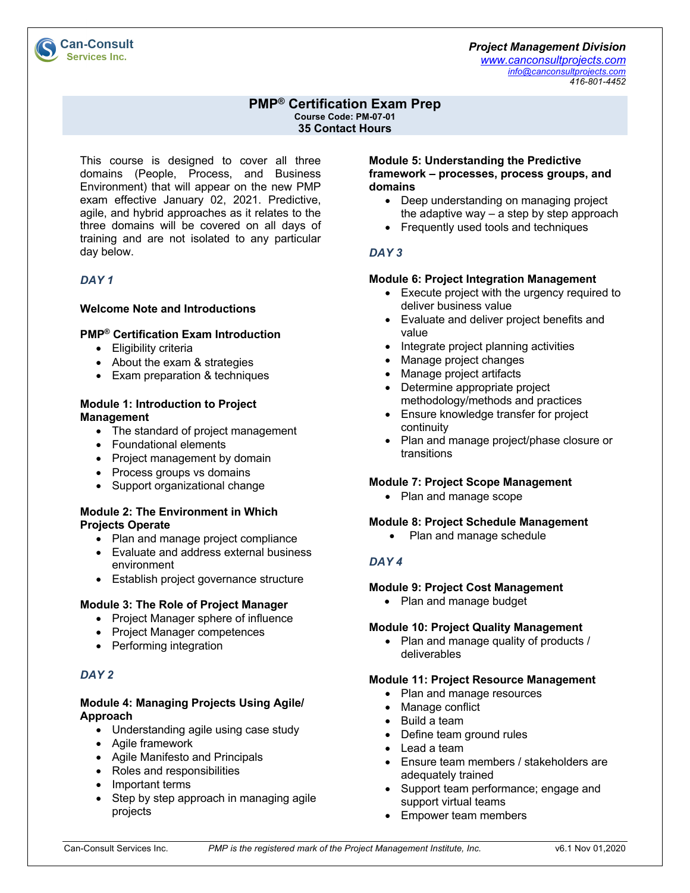#### *Project Management Division*

*www.canconsultprojects.com info@canconsultprojects.com 416-801-4452*

# **PMP® Certification Exam Prep**

**Course Code: PM-07-01 35 Contact Hours**

This course is designed to cover all three domains (People, Process, and Business Environment) that will appear on the new PMP exam effective January 02, 2021. Predictive, agile, and hybrid approaches as it relates to the three domains will be covered on all days of training and are not isolated to any particular day below.

# *DAY 1*

**Can-Consult Services Inc.** 

### **Welcome Note and Introductions**

### **PMP® Certification Exam Introduction**

- Eligibility criteria
- About the exam & strategies
- Exam preparation & techniques

#### **Module 1: Introduction to Project Management**

- The standard of project management
- Foundational elements
- Project management by domain
- Process groups vs domains
- Support organizational change

### **Module 2: The Environment in Which Projects Operate**

- Plan and manage project compliance
- Evaluate and address external business environment
- Establish project governance structure

# **Module 3: The Role of Project Manager**

- Project Manager sphere of influence
- Project Manager competences
- Performing integration

# *DAY 2*

# **Module 4: Managing Projects Using Agile/ Approach**

- Understanding agile using case study
- Agile framework
- Agile Manifesto and Principals
- Roles and responsibilities
- Important terms
- Step by step approach in managing agile projects

#### **Module 5: Understanding the Predictive framework – processes, process groups, and domains**

- Deep understanding on managing project the adaptive way – a step by step approach
- Frequently used tools and techniques

# *DAY 3*

### **Module 6: Project Integration Management**

- Execute project with the urgency required to deliver business value
- Evaluate and deliver project benefits and value
- Integrate project planning activities
- Manage project changes
- Manage project artifacts
- Determine appropriate project methodology/methods and practices
- Ensure knowledge transfer for project continuity
- Plan and manage project/phase closure or transitions

# **Module 7: Project Scope Management**

• Plan and manage scope

### **Module 8: Project Schedule Management**

• Plan and manage schedule

# *DAY 4*

# **Module 9: Project Cost Management**

• Plan and manage budget

# **Module 10: Project Quality Management**

• Plan and manage quality of products / deliverables

# **Module 11: Project Resource Management**

- Plan and manage resources
- Manage conflict
- Build a team
- Define team ground rules
- Lead a team
- Ensure team members / stakeholders are adequately trained
- Support team performance; engage and support virtual teams
- Empower team members